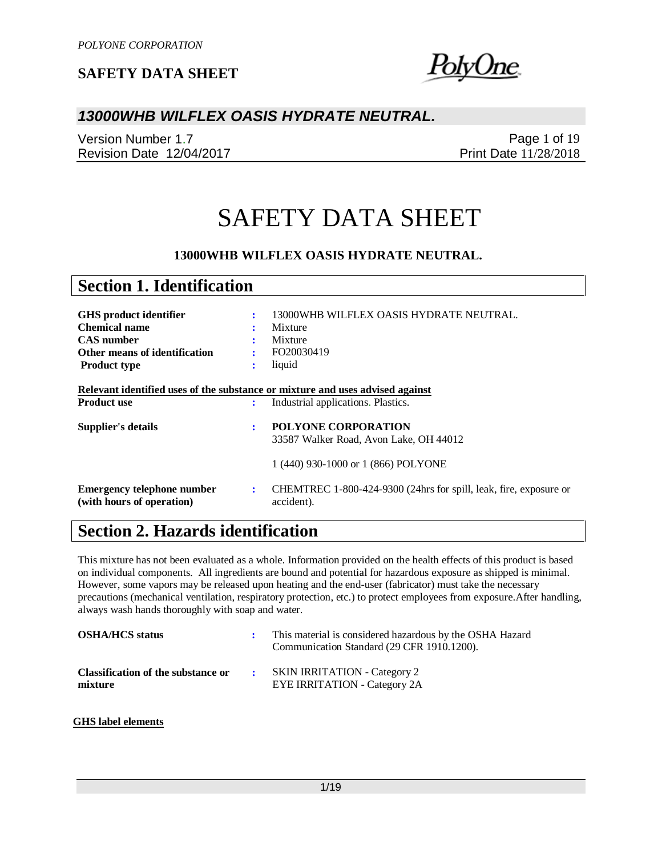blyUne.

### *13000WHB WILFLEX OASIS HYDRATE NEUTRAL.*

Version Number 1.7 Revision Date 12/04/2017

Page 1 of 19 Print Date 11/28/2018

# SAFETY DATA SHEET

#### **13000WHB WILFLEX OASIS HYDRATE NEUTRAL.**

| <b>Section 1. Identification</b>                                                                    |                |                                                                                 |
|-----------------------------------------------------------------------------------------------------|----------------|---------------------------------------------------------------------------------|
|                                                                                                     |                |                                                                                 |
| GHS product identifier                                                                              | ÷              | 13000WHB WILFLEX OASIS HYDRATE NEUTRAL.                                         |
| <b>Chemical name</b>                                                                                |                | Mixture                                                                         |
| <b>CAS</b> number                                                                                   |                | Mixture                                                                         |
| Other means of identification                                                                       | ÷              | FO20030419                                                                      |
| <b>Product type</b>                                                                                 | ٠<br>$\bullet$ | liquid                                                                          |
| Relevant identified uses of the substance or mixture and uses advised against<br><b>Product use</b> | ÷              | Industrial applications. Plastics.                                              |
| Supplier's details                                                                                  | ÷              | <b>POLYONE CORPORATION</b>                                                      |
|                                                                                                     |                | 33587 Walker Road, Avon Lake, OH 44012                                          |
|                                                                                                     |                | 1 (440) 930-1000 or 1 (866) POLYONE                                             |
| <b>Emergency telephone number</b><br>(with hours of operation)                                      | $\ddot{\cdot}$ | CHEMTREC 1-800-424-9300 (24hrs for spill, leak, fire, exposure or<br>accident). |

# **Section 2. Hazards identification**

This mixture has not been evaluated as a whole. Information provided on the health effects of this product is based on individual components. All ingredients are bound and potential for hazardous exposure as shipped is minimal. However, some vapors may be released upon heating and the end-user (fabricator) must take the necessary precautions (mechanical ventilation, respiratory protection, etc.) to protect employees from exposure.After handling, always wash hands thoroughly with soap and water.

| <b>OSHA/HCS status</b>                        | This material is considered hazardous by the OSHA Hazard<br>Communication Standard (29 CFR 1910.1200). |
|-----------------------------------------------|--------------------------------------------------------------------------------------------------------|
| Classification of the substance or<br>mixture | <b>SKIN IRRITATION - Category 2</b><br><b>EYE IRRITATION - Category 2A</b>                             |

#### **GHS label elements**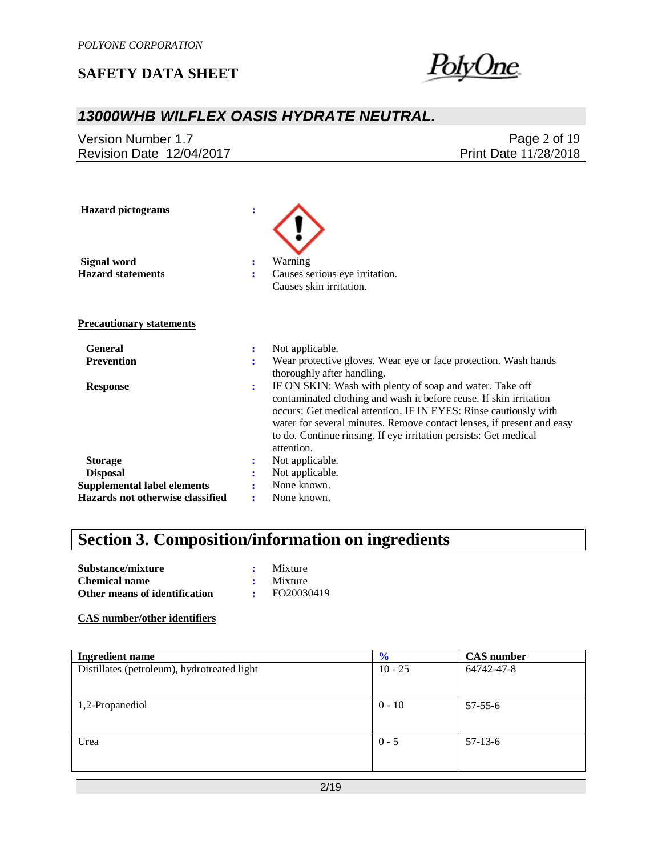

# *13000WHB WILFLEX OASIS HYDRATE NEUTRAL.*

|                                                          | Page $2$ of $19$ |
|----------------------------------------------------------|------------------|
| Revision Date 12/04/2017<br><b>Print Date 11/28/2018</b> |                  |

| <b>Hazard</b> pictograms           | ÷              |                                                                                                                                           |
|------------------------------------|----------------|-------------------------------------------------------------------------------------------------------------------------------------------|
| <b>Signal word</b>                 | :              | Warning                                                                                                                                   |
| <b>Hazard statements</b>           | ÷              | Causes serious eye irritation.                                                                                                            |
|                                    |                | Causes skin irritation.                                                                                                                   |
| <b>Precautionary statements</b>    |                |                                                                                                                                           |
| <b>General</b>                     | :              | Not applicable.                                                                                                                           |
| <b>Prevention</b>                  | ÷              | Wear protective gloves. Wear eye or face protection. Wash hands                                                                           |
|                                    |                | thoroughly after handling.                                                                                                                |
| <b>Response</b>                    | $\ddot{\cdot}$ | IF ON SKIN: Wash with plenty of soap and water. Take off                                                                                  |
|                                    |                | contaminated clothing and wash it before reuse. If skin irritation                                                                        |
|                                    |                | occurs: Get medical attention. IF IN EYES: Rinse cautiously with                                                                          |
|                                    |                | water for several minutes. Remove contact lenses, if present and easy<br>to do. Continue rinsing. If eye irritation persists: Get medical |
|                                    |                | attention.                                                                                                                                |
| <b>Storage</b>                     | :              | Not applicable.                                                                                                                           |
| <b>Disposal</b>                    |                | Not applicable.                                                                                                                           |
| <b>Supplemental label elements</b> |                | None known.                                                                                                                               |
| Hazards not otherwise classified   | ፡              | None known.                                                                                                                               |

# **Section 3. Composition/information on ingredients**

| Substance/mixture             | Mixture    |
|-------------------------------|------------|
| <b>Chemical name</b>          | Mixture    |
| Other means of identification | FO20030419 |

#### **CAS number/other identifiers**

| <b>Ingredient name</b>                      | $\frac{1}{2}$ | <b>CAS</b> number |
|---------------------------------------------|---------------|-------------------|
| Distillates (petroleum), hydrotreated light | $10 - 25$     | 64742-47-8        |
|                                             |               |                   |
| 1,2-Propanediol                             | $0 - 10$      | $57 - 55 - 6$     |
|                                             |               |                   |
| Urea                                        | $0 - 5$       | $57-13-6$         |
|                                             |               |                   |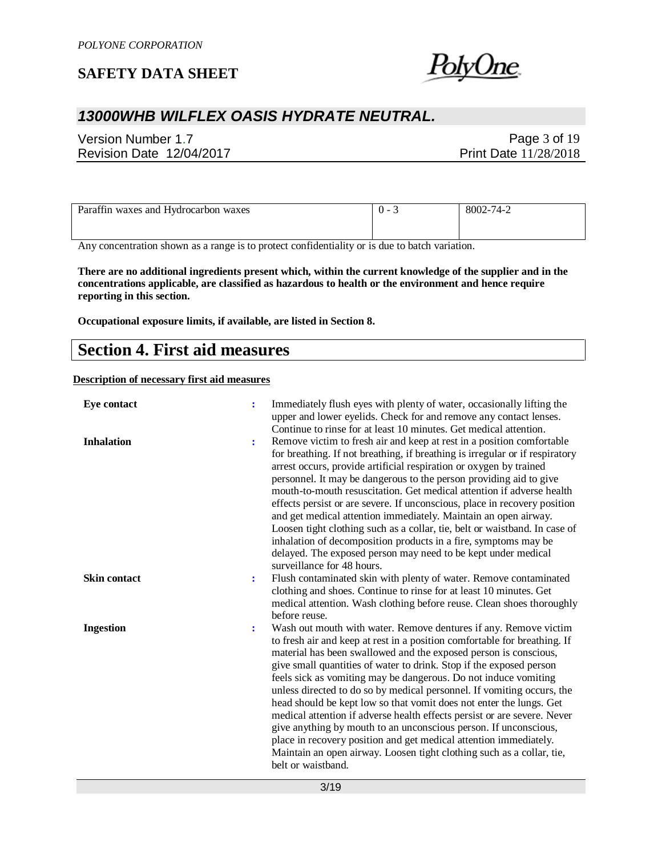

## *13000WHB WILFLEX OASIS HYDRATE NEUTRAL.*

Version Number 1.7 Revision Date 12/04/2017

Page 3 of 19 Print Date 11/28/2018

| Paraffin waxes and Hydrocarbon waxes | . | 8002-74-2 |
|--------------------------------------|---|-----------|
|                                      |   |           |

Any concentration shown as a range is to protect confidentiality or is due to batch variation.

**There are no additional ingredients present which, within the current knowledge of the supplier and in the concentrations applicable, are classified as hazardous to health or the environment and hence require reporting in this section.**

**Occupational exposure limits, if available, are listed in Section 8.**

### **Section 4. First aid measures**

**Description of necessary first aid measures**

| <b>Eye contact</b>  | ÷  | Immediately flush eyes with plenty of water, occasionally lifting the<br>upper and lower eyelids. Check for and remove any contact lenses.<br>Continue to rinse for at least 10 minutes. Get medical attention.                                                                                                                                                                                                                                                                                                                                                                                                                                                                                                                                                                                                                  |
|---------------------|----|----------------------------------------------------------------------------------------------------------------------------------------------------------------------------------------------------------------------------------------------------------------------------------------------------------------------------------------------------------------------------------------------------------------------------------------------------------------------------------------------------------------------------------------------------------------------------------------------------------------------------------------------------------------------------------------------------------------------------------------------------------------------------------------------------------------------------------|
| <b>Inhalation</b>   | :  | Remove victim to fresh air and keep at rest in a position comfortable<br>for breathing. If not breathing, if breathing is irregular or if respiratory<br>arrest occurs, provide artificial respiration or oxygen by trained<br>personnel. It may be dangerous to the person providing aid to give<br>mouth-to-mouth resuscitation. Get medical attention if adverse health<br>effects persist or are severe. If unconscious, place in recovery position<br>and get medical attention immediately. Maintain an open airway.<br>Loosen tight clothing such as a collar, tie, belt or waistband. In case of<br>inhalation of decomposition products in a fire, symptoms may be<br>delayed. The exposed person may need to be kept under medical<br>surveillance for 48 hours.                                                       |
| <b>Skin contact</b> | ÷  | Flush contaminated skin with plenty of water. Remove contaminated<br>clothing and shoes. Continue to rinse for at least 10 minutes. Get<br>medical attention. Wash clothing before reuse. Clean shoes thoroughly<br>before reuse.                                                                                                                                                                                                                                                                                                                                                                                                                                                                                                                                                                                                |
| <b>Ingestion</b>    | ٠. | Wash out mouth with water. Remove dentures if any. Remove victim<br>to fresh air and keep at rest in a position comfortable for breathing. If<br>material has been swallowed and the exposed person is conscious,<br>give small quantities of water to drink. Stop if the exposed person<br>feels sick as vomiting may be dangerous. Do not induce vomiting<br>unless directed to do so by medical personnel. If vomiting occurs, the<br>head should be kept low so that vomit does not enter the lungs. Get<br>medical attention if adverse health effects persist or are severe. Never<br>give anything by mouth to an unconscious person. If unconscious,<br>place in recovery position and get medical attention immediately.<br>Maintain an open airway. Loosen tight clothing such as a collar, tie,<br>belt or waistband. |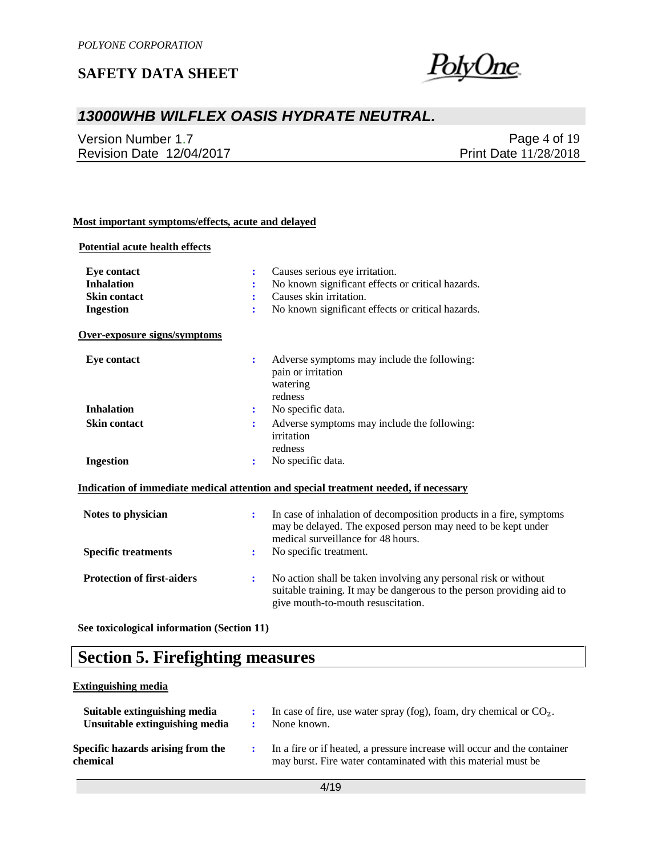

## *13000WHB WILFLEX OASIS HYDRATE NEUTRAL.*

Version Number 1.7 Revision Date 12/04/2017

Page 4 of 19 Print Date 11/28/2018

#### **Most important symptoms/effects, acute and delayed**

#### **Potential acute health effects**

| <b>Eye contact</b>                | Causes serious eye irritation.                                                                                                                                                      |
|-----------------------------------|-------------------------------------------------------------------------------------------------------------------------------------------------------------------------------------|
| <b>Inhalation</b>                 | No known significant effects or critical hazards.                                                                                                                                   |
| <b>Skin contact</b>               | Causes skin irritation.<br>÷                                                                                                                                                        |
| <b>Ingestion</b>                  | No known significant effects or critical hazards.<br>$\ddot{\cdot}$                                                                                                                 |
| Over-exposure signs/symptoms      |                                                                                                                                                                                     |
| Eye contact                       | Adverse symptoms may include the following:<br>÷<br>pain or irritation<br>watering<br>redness                                                                                       |
| <b>Inhalation</b>                 | No specific data.<br>÷                                                                                                                                                              |
| <b>Skin contact</b>               | Adverse symptoms may include the following:<br>$\ddot{\cdot}$                                                                                                                       |
|                                   | irritation                                                                                                                                                                          |
|                                   | redness                                                                                                                                                                             |
| <b>Ingestion</b>                  | No specific data.<br>:                                                                                                                                                              |
|                                   | Indication of immediate medical attention and special treatment needed, if necessary                                                                                                |
| Notes to physician                | In case of inhalation of decomposition products in a fire, symptoms<br>÷<br>may be delayed. The exposed person may need to be kept under<br>medical surveillance for 48 hours.      |
| <b>Specific treatments</b>        | No specific treatment.<br>÷                                                                                                                                                         |
| <b>Protection of first-aiders</b> | No action shall be taken involving any personal risk or without<br>÷<br>suitable training. It may be dangerous to the person providing aid to<br>give mouth-to-mouth resuscitation. |

**See toxicological information (Section 11)**

# **Section 5. Firefighting measures**

#### **Extinguishing media**

| Suitable extinguishing media<br>Unsuitable extinguishing media | In case of fire, use water spray (fog), foam, dry chemical or $CO2$ .<br>None known.                                                      |
|----------------------------------------------------------------|-------------------------------------------------------------------------------------------------------------------------------------------|
| Specific hazards arising from the<br>chemical                  | In a fire or if heated, a pressure increase will occur and the container<br>may burst. Fire water contaminated with this material must be |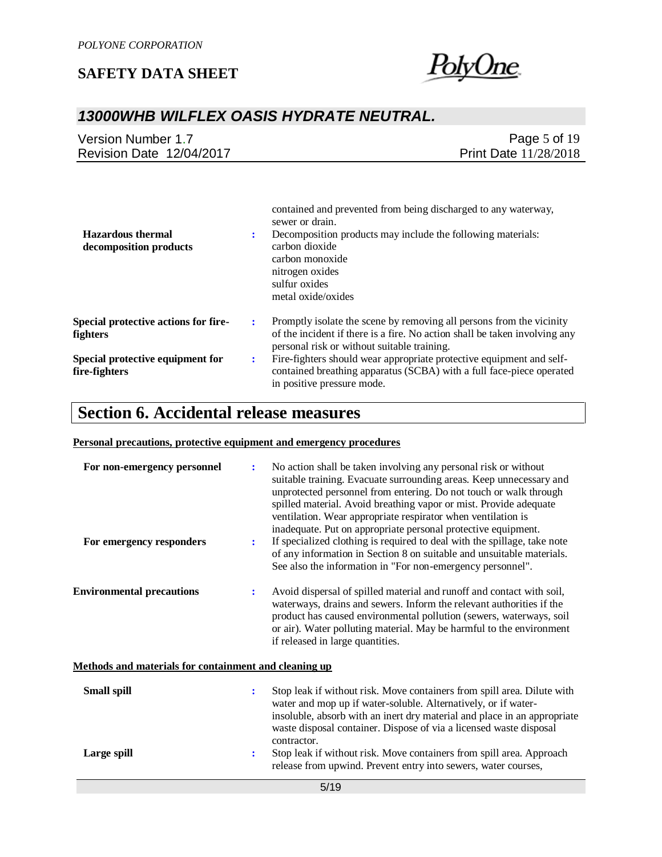

# *13000WHB WILFLEX OASIS HYDRATE NEUTRAL.*

| Version Number 1.7       | Page 5 of $19$               |
|--------------------------|------------------------------|
| Revision Date 12/04/2017 | <b>Print Date 11/28/2018</b> |

|                                                         |   | contained and prevented from being discharged to any waterway,<br>sewer or drain.                                                                                                                 |
|---------------------------------------------------------|---|---------------------------------------------------------------------------------------------------------------------------------------------------------------------------------------------------|
| <b>Hazardous</b> thermal<br>decomposition products      |   | Decomposition products may include the following materials:<br>carbon dioxide<br>carbon monoxide<br>nitrogen oxides<br>sulfur oxides<br>metal oxide/oxides                                        |
| <b>Special protective actions for fire-</b><br>fighters | ÷ | Promptly isolate the scene by removing all persons from the vicinity<br>of the incident if there is a fire. No action shall be taken involving any<br>personal risk or without suitable training. |
| Special protective equipment for<br>fire-fighters       | ÷ | Fire-fighters should wear appropriate protective equipment and self-<br>contained breathing apparatus (SCBA) with a full face-piece operated<br>in positive pressure mode.                        |

## **Section 6. Accidental release measures**

#### **Personal precautions, protective equipment and emergency procedures**

| For non-emergency personnel                           | ÷ | No action shall be taken involving any personal risk or without<br>suitable training. Evacuate surrounding areas. Keep unnecessary and<br>unprotected personnel from entering. Do not touch or walk through<br>spilled material. Avoid breathing vapor or mist. Provide adequate<br>ventilation. Wear appropriate respirator when ventilation is<br>inadequate. Put on appropriate personal protective equipment. |
|-------------------------------------------------------|---|-------------------------------------------------------------------------------------------------------------------------------------------------------------------------------------------------------------------------------------------------------------------------------------------------------------------------------------------------------------------------------------------------------------------|
| For emergency responders                              | ÷ | If specialized clothing is required to deal with the spillage, take note<br>of any information in Section 8 on suitable and unsuitable materials.<br>See also the information in "For non-emergency personnel".                                                                                                                                                                                                   |
| <b>Environmental precautions</b>                      | ÷ | Avoid dispersal of spilled material and runoff and contact with soil,<br>waterways, drains and sewers. Inform the relevant authorities if the<br>product has caused environmental pollution (sewers, waterways, soil<br>or air). Water polluting material. May be harmful to the environment<br>if released in large quantities.                                                                                  |
| Methods and materials for containment and cleaning up |   |                                                                                                                                                                                                                                                                                                                                                                                                                   |
| <b>Small spill</b>                                    | ÷ | Stop leak if without risk. Move containers from spill area. Dilute with<br>water and mop up if water-soluble. Alternatively, or if water-<br>insoluble, absorb with an inert dry material and place in an appropriate<br>waste disposal container. Dispose of via a licensed waste disposal<br>contractor.                                                                                                        |
| Large spill                                           | : | Stop leak if without risk. Move containers from spill area. Approach<br>release from upwind. Prevent entry into sewers, water courses,                                                                                                                                                                                                                                                                            |
|                                                       |   | 5/19                                                                                                                                                                                                                                                                                                                                                                                                              |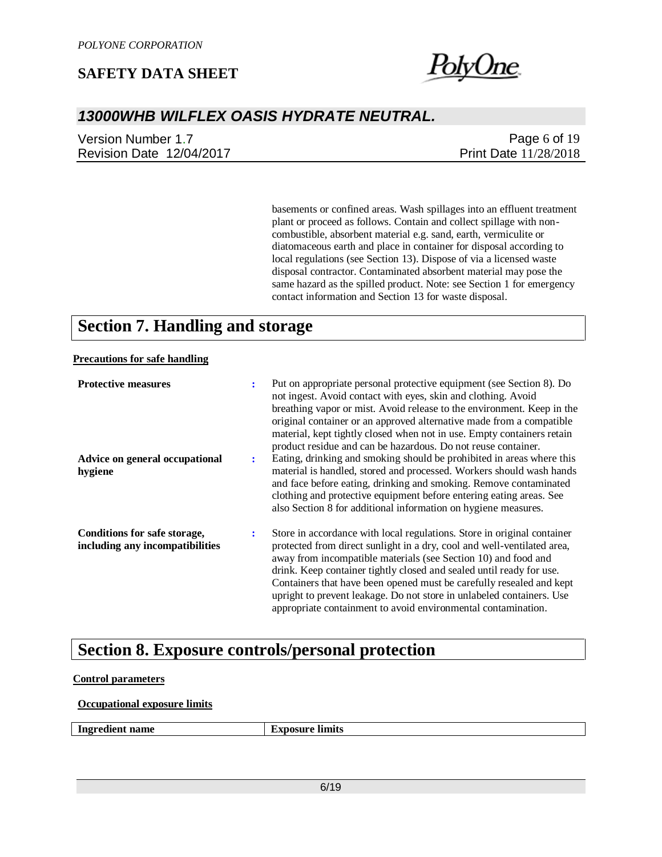

19

# *13000WHB WILFLEX OASIS HYDRATE NEUTRAL.*

| Version Number 1.7       | Page 6 of $19$               |
|--------------------------|------------------------------|
| Revision Date 12/04/2017 | <b>Print Date 11/28/2018</b> |

basements or confined areas. Wash spillages into an effluent treatment plant or proceed as follows. Contain and collect spillage with noncombustible, absorbent material e.g. sand, earth, vermiculite or diatomaceous earth and place in container for disposal according to local regulations (see Section 13). Dispose of via a licensed waste disposal contractor. Contaminated absorbent material may pose the same hazard as the spilled product. Note: see Section 1 for emergency contact information and Section 13 for waste disposal.

# **Section 7. Handling and storage**

#### **Precautions for safe handling**

| <b>Protective measures</b>                                      | ÷ | Put on appropriate personal protective equipment (see Section 8). Do<br>not ingest. Avoid contact with eyes, skin and clothing. Avoid<br>breathing vapor or mist. Avoid release to the environment. Keep in the<br>original container or an approved alternative made from a compatible<br>material, kept tightly closed when not in use. Empty containers retain<br>product residue and can be hazardous. Do not reuse container.                                                                             |
|-----------------------------------------------------------------|---|----------------------------------------------------------------------------------------------------------------------------------------------------------------------------------------------------------------------------------------------------------------------------------------------------------------------------------------------------------------------------------------------------------------------------------------------------------------------------------------------------------------|
| Advice on general occupational<br>hygiene                       | ÷ | Eating, drinking and smoking should be prohibited in areas where this<br>material is handled, stored and processed. Workers should wash hands<br>and face before eating, drinking and smoking. Remove contaminated<br>clothing and protective equipment before entering eating areas. See<br>also Section 8 for additional information on hygiene measures.                                                                                                                                                    |
| Conditions for safe storage,<br>including any incompatibilities | ÷ | Store in accordance with local regulations. Store in original container<br>protected from direct sunlight in a dry, cool and well-ventilated area,<br>away from incompatible materials (see Section 10) and food and<br>drink. Keep container tightly closed and sealed until ready for use.<br>Containers that have been opened must be carefully resealed and kept<br>upright to prevent leakage. Do not store in unlabeled containers. Use<br>appropriate containment to avoid environmental contamination. |

# **Section 8. Exposure controls/personal protection**

#### **Control parameters**

#### **Occupational exposure limits**

**Ingredient name Exposure limits**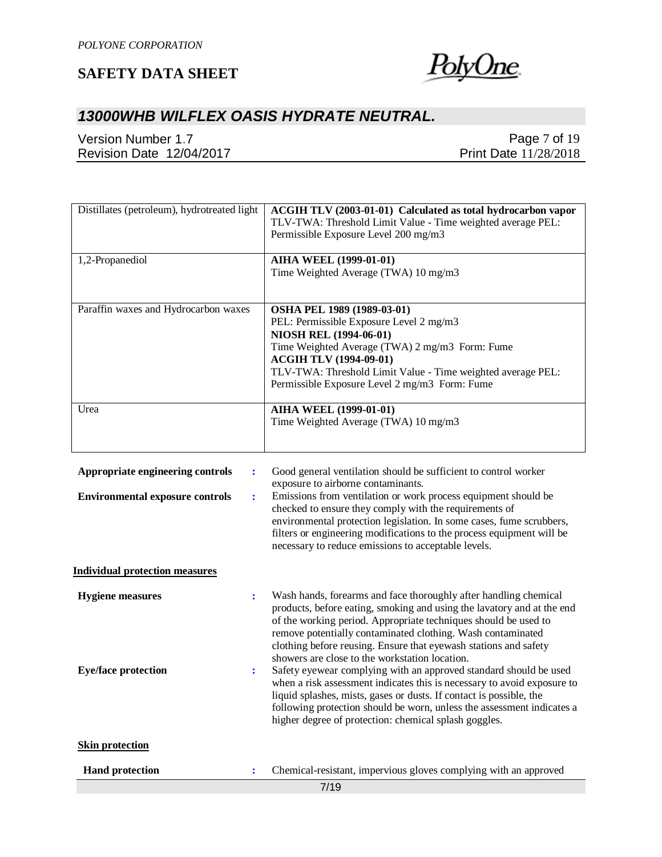

# *13000WHB WILFLEX OASIS HYDRATE NEUTRAL.*

Version Number 1.7 Revision Date 12/04/2017

Page 7 of 19 Print Date 11/28/2018

| Distillates (petroleum), hydrotreated light | ACGIH TLV (2003-01-01) Calculated as total hydrocarbon vapor<br>TLV-TWA: Threshold Limit Value - Time weighted average PEL:<br>Permissible Exposure Level 200 mg/m3 |
|---------------------------------------------|---------------------------------------------------------------------------------------------------------------------------------------------------------------------|
| 1,2-Propanediol                             | <b>AIHA WEEL (1999-01-01)</b>                                                                                                                                       |
|                                             | Time Weighted Average (TWA) 10 mg/m3                                                                                                                                |
| Paraffin waxes and Hydrocarbon waxes        | OSHA PEL 1989 (1989-03-01)                                                                                                                                          |
|                                             | PEL: Permissible Exposure Level 2 mg/m3                                                                                                                             |
|                                             | <b>NIOSH REL (1994-06-01)</b>                                                                                                                                       |
|                                             | Time Weighted Average (TWA) 2 mg/m3 Form: Fume                                                                                                                      |
|                                             | <b>ACGIH TLV (1994-09-01)</b>                                                                                                                                       |
|                                             | TLV-TWA: Threshold Limit Value - Time weighted average PEL:                                                                                                         |
|                                             | Permissible Exposure Level 2 mg/m3 Form: Fume                                                                                                                       |
| Urea                                        | <b>AIHA WEEL (1999-01-01)</b>                                                                                                                                       |
|                                             | Time Weighted Average (TWA) 10 mg/m3                                                                                                                                |
|                                             | Annuary is to engineering controls controls Cool general vertilation should be sufficient to control worker                                                         |

| Appropriate engineering controls                      | ÷                   | Good general ventilation should be sufficient to control worker<br>exposure to airborne contaminants.                                                                                                                                                                                                                                                                                                                                                                                                                                                                                                                                                                                                                                                        |
|-------------------------------------------------------|---------------------|--------------------------------------------------------------------------------------------------------------------------------------------------------------------------------------------------------------------------------------------------------------------------------------------------------------------------------------------------------------------------------------------------------------------------------------------------------------------------------------------------------------------------------------------------------------------------------------------------------------------------------------------------------------------------------------------------------------------------------------------------------------|
| <b>Environmental exposure controls</b>                | $\ddot{\cdot}$      | Emissions from ventilation or work process equipment should be<br>checked to ensure they comply with the requirements of<br>environmental protection legislation. In some cases, fume scrubbers,<br>filters or engineering modifications to the process equipment will be<br>necessary to reduce emissions to acceptable levels.                                                                                                                                                                                                                                                                                                                                                                                                                             |
| <b>Individual protection measures</b>                 |                     |                                                                                                                                                                                                                                                                                                                                                                                                                                                                                                                                                                                                                                                                                                                                                              |
| <b>Hygiene</b> measures<br><b>Eye/face protection</b> | $\ddot{\cdot}$<br>÷ | Wash hands, forearms and face thoroughly after handling chemical<br>products, before eating, smoking and using the lavatory and at the end<br>of the working period. Appropriate techniques should be used to<br>remove potentially contaminated clothing. Wash contaminated<br>clothing before reusing. Ensure that eyewash stations and safety<br>showers are close to the workstation location.<br>Safety eyewear complying with an approved standard should be used<br>when a risk assessment indicates this is necessary to avoid exposure to<br>liquid splashes, mists, gases or dusts. If contact is possible, the<br>following protection should be worn, unless the assessment indicates a<br>higher degree of protection: chemical splash goggles. |
| <b>Skin protection</b>                                |                     |                                                                                                                                                                                                                                                                                                                                                                                                                                                                                                                                                                                                                                                                                                                                                              |
| <b>Hand protection</b>                                | ÷                   | Chemical-resistant, impervious gloves complying with an approved                                                                                                                                                                                                                                                                                                                                                                                                                                                                                                                                                                                                                                                                                             |
|                                                       |                     | 7/19                                                                                                                                                                                                                                                                                                                                                                                                                                                                                                                                                                                                                                                                                                                                                         |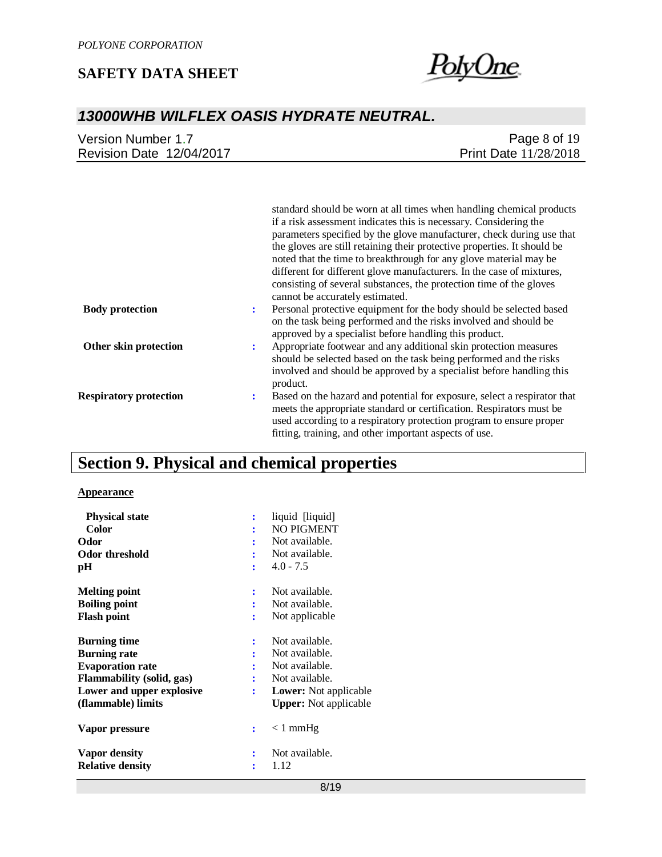

# *13000WHB WILFLEX OASIS HYDRATE NEUTRAL.*

| Version Number 1.7       | Page $8$ of $19$             |
|--------------------------|------------------------------|
| Revision Date 12/04/2017 | <b>Print Date 11/28/2018</b> |

|                               | standard should be worn at all times when handling chemical products<br>if a risk assessment indicates this is necessary. Considering the<br>parameters specified by the glove manufacturer, check during use that<br>the gloves are still retaining their protective properties. It should be<br>noted that the time to breakthrough for any glove material may be<br>different for different glove manufacturers. In the case of mixtures,<br>consisting of several substances, the protection time of the gloves<br>cannot be accurately estimated. |
|-------------------------------|--------------------------------------------------------------------------------------------------------------------------------------------------------------------------------------------------------------------------------------------------------------------------------------------------------------------------------------------------------------------------------------------------------------------------------------------------------------------------------------------------------------------------------------------------------|
| <b>Body protection</b>        | Personal protective equipment for the body should be selected based<br>÷<br>on the task being performed and the risks involved and should be<br>approved by a specialist before handling this product.                                                                                                                                                                                                                                                                                                                                                 |
| Other skin protection         | Appropriate footwear and any additional skin protection measures<br>÷<br>should be selected based on the task being performed and the risks<br>involved and should be approved by a specialist before handling this<br>product.                                                                                                                                                                                                                                                                                                                        |
| <b>Respiratory protection</b> | Based on the hazard and potential for exposure, select a respirator that<br>÷<br>meets the appropriate standard or certification. Respirators must be<br>used according to a respiratory protection program to ensure proper<br>fitting, training, and other important aspects of use.                                                                                                                                                                                                                                                                 |

# **Section 9. Physical and chemical properties**

#### **Appearance**

| <b>Physical state</b>            |   | liquid [liquid]              |
|----------------------------------|---|------------------------------|
| <b>Color</b>                     |   | <b>NO PIGMENT</b>            |
| Odor                             |   | Not available.               |
| Odor threshold                   |   | Not available.               |
| pН                               |   | $4.0 - 7.5$                  |
| <b>Melting point</b>             | ÷ | Not available.               |
| <b>Boiling point</b>             |   | Not available.               |
| <b>Flash point</b>               | ÷ | Not applicable               |
| <b>Burning time</b>              | ÷ | Not available.               |
| <b>Burning rate</b>              |   | Not available.               |
| <b>Evaporation rate</b>          |   | Not available.               |
| <b>Flammability (solid, gas)</b> | ÷ | Not available.               |
| Lower and upper explosive        | ÷ | <b>Lower:</b> Not applicable |
| (flammable) limits               |   | <b>Upper:</b> Not applicable |
| Vapor pressure                   |   | $< 1$ mmHg                   |
| Vapor density                    |   | Not available.               |
| <b>Relative density</b>          |   | 1.12                         |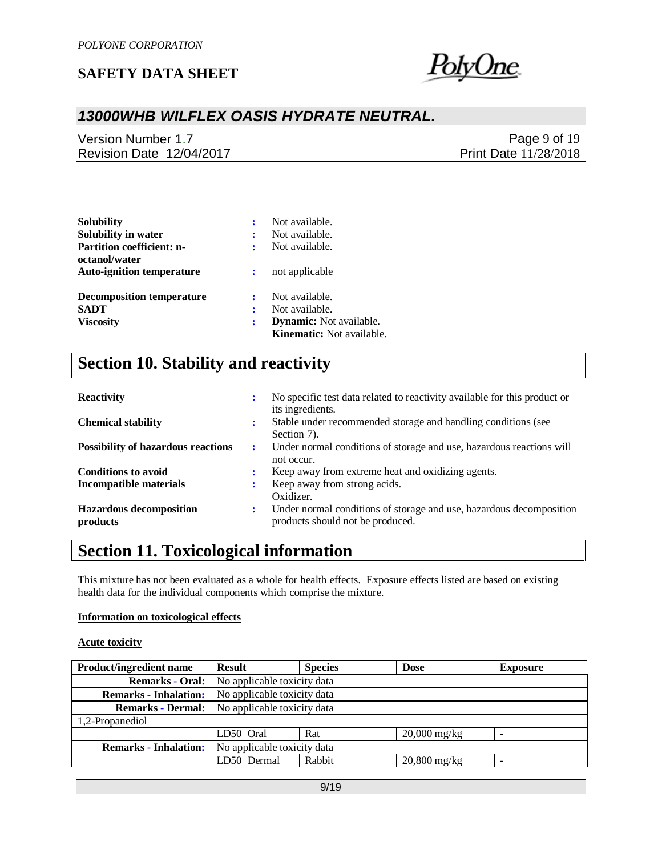

# *13000WHB WILFLEX OASIS HYDRATE NEUTRAL.*

Version Number 1.7 Revision Date 12/04/2017

Page 9 of 19 Print Date 11/28/2018

| <b>Solubility</b>                                 |   | Not available.                   |
|---------------------------------------------------|---|----------------------------------|
| Solubility in water                               | ÷ | Not available.                   |
| <b>Partition coefficient: n-</b>                  |   | Not available.                   |
| octanol/water<br><b>Auto-ignition temperature</b> | ÷ | not applicable                   |
| <b>Decomposition temperature</b>                  | ÷ | Not available.                   |
| <b>SADT</b>                                       | ÷ | Not available.                   |
| <b>Viscosity</b>                                  | : | <b>Dynamic:</b> Not available.   |
|                                                   |   | <b>Kinematic:</b> Not available. |

# **Section 10. Stability and reactivity**

| <b>Reactivity</b>                          | ÷ | No specific test data related to reactivity available for this product or<br>its ingredients.           |
|--------------------------------------------|---|---------------------------------------------------------------------------------------------------------|
| <b>Chemical stability</b>                  | ÷ | Stable under recommended storage and handling conditions (see<br>Section 7).                            |
| <b>Possibility of hazardous reactions</b>  | ÷ | Under normal conditions of storage and use, hazardous reactions will<br>not occur.                      |
| <b>Conditions to avoid</b>                 |   | Keep away from extreme heat and oxidizing agents.                                                       |
| <b>Incompatible materials</b>              |   | Keep away from strong acids.<br>Oxidizer.                                                               |
| <b>Hazardous decomposition</b><br>products | ÷ | Under normal conditions of storage and use, hazardous decomposition<br>products should not be produced. |

# **Section 11. Toxicological information**

This mixture has not been evaluated as a whole for health effects. Exposure effects listed are based on existing health data for the individual components which comprise the mixture.

#### **Information on toxicological effects**

#### **Acute toxicity**

| <b>Product/ingredient name</b> | <b>Result</b>               | <b>Species</b>              | <b>Dose</b>    | <b>Exposure</b>          |  |  |  |
|--------------------------------|-----------------------------|-----------------------------|----------------|--------------------------|--|--|--|
| <b>Remarks - Oral:</b>         | No applicable toxicity data |                             |                |                          |  |  |  |
| <b>Remarks - Inhalation:</b>   |                             | No applicable toxicity data |                |                          |  |  |  |
| <b>Remarks - Dermal:</b>       | No applicable toxicity data |                             |                |                          |  |  |  |
| 1,2-Propanediol                |                             |                             |                |                          |  |  |  |
|                                | LD50 Oral                   | Rat                         | $20,000$ mg/kg |                          |  |  |  |
| <b>Remarks - Inhalation:</b>   | No applicable toxicity data |                             |                |                          |  |  |  |
|                                | LD50 Dermal                 | Rabbit                      | $20,800$ mg/kg | $\overline{\phantom{0}}$ |  |  |  |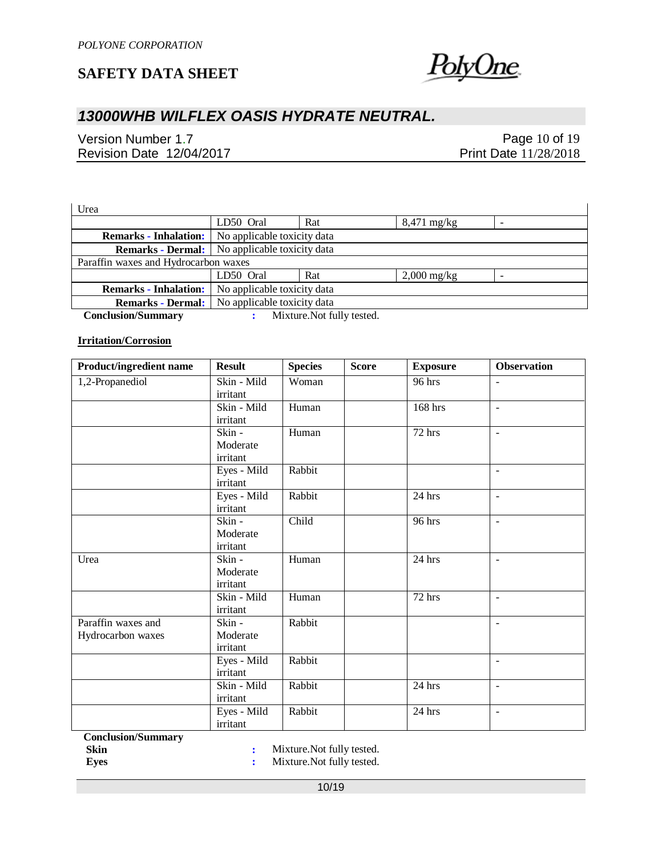

# *13000WHB WILFLEX OASIS HYDRATE NEUTRAL.*

Version Number 1.7 Revision Date 12/04/2017

Page 10 of 19 Print Date 11/28/2018

 $\overline{\phantom{a}}$ 

Urea

|                                      | LD50 Oral                                            | Rat | $8,471 \text{ mg/kg}$ |  |  |  |  |
|--------------------------------------|------------------------------------------------------|-----|-----------------------|--|--|--|--|
| <b>Remarks - Inhalation:</b>         | No applicable toxicity data                          |     |                       |  |  |  |  |
|                                      | <b>Remarks - Dermal:</b> No applicable toxicity data |     |                       |  |  |  |  |
| Paraffin waxes and Hydrocarbon waxes |                                                      |     |                       |  |  |  |  |
|                                      | LD50 Oral                                            | Rat | $2,000$ mg/kg         |  |  |  |  |
| <b>Remarks - Inhalation:</b>         | No applicable toxicity data                          |     |                       |  |  |  |  |
| <b>Remarks - Dermal:</b>             | No applicable toxicity data                          |     |                       |  |  |  |  |
|                                      |                                                      |     |                       |  |  |  |  |

 **Conclusion/Summary :** Mixture.Not fully tested.

#### **Irritation/Corrosion**

| Product/ingredient name                 | <b>Result</b>                  | <b>Species</b> | <b>Score</b> | <b>Exposure</b>      | <b>Observation</b>       |
|-----------------------------------------|--------------------------------|----------------|--------------|----------------------|--------------------------|
| 1,2-Propanediol                         | Skin - Mild<br>irritant        | Woman          |              | 96 hrs               | $\blacksquare$           |
|                                         | Skin - Mild<br>irritant        | Human          |              | 168 hrs              | $\sim$                   |
|                                         | Skin -<br>Moderate<br>irritant | Human          |              | $\overline{7}$ 2 hrs | $\overline{\phantom{a}}$ |
|                                         | Eyes - Mild<br>irritant        | Rabbit         |              |                      | $\blacksquare$           |
|                                         | Eyes - Mild<br>irritant        | Rabbit         |              | 24 hrs               | $\blacksquare$           |
|                                         | Skin -<br>Moderate<br>irritant | Child          |              | 96 hrs               | $\overline{\phantom{a}}$ |
| Urea                                    | Skin -<br>Moderate<br>irritant | Human          |              | 24 hrs               | $\blacksquare$           |
|                                         | Skin - Mild<br>irritant        | Human          |              | 72 hrs               | $\blacksquare$           |
| Paraffin waxes and<br>Hydrocarbon waxes | Skin -<br>Moderate<br>irritant | Rabbit         |              |                      | $\overline{\phantom{a}}$ |
|                                         | Eyes - Mild<br>irritant        | Rabbit         |              |                      | $\blacksquare$           |
|                                         | Skin - Mild<br>irritant        | Rabbit         |              | 24 hrs               | $\blacksquare$           |
|                                         | Eyes - Mild<br>irritant        | Rabbit         |              | 24 hrs               | $\overline{\phantom{a}}$ |

 **Conclusion/Summary**

**Skin** : Mixture.Not fully tested.<br> **Eyes** : Mixture.Not fully tested. **:** Mixture.Not fully tested.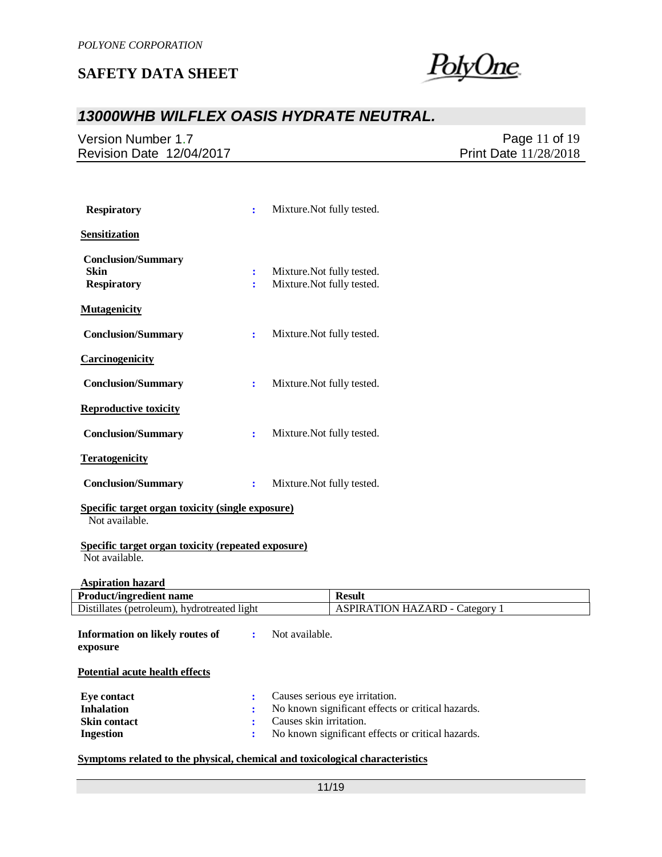

## *13000WHB WILFLEX OASIS HYDRATE NEUTRAL.*

Version Number 1.7 Revision Date 12/04/2017

Page 11 of 19 Print Date 11/28/2018

| <b>Respiratory</b>                                                   | ÷                         | Mixture. Not fully tested.                               |                                                                                     |
|----------------------------------------------------------------------|---------------------------|----------------------------------------------------------|-------------------------------------------------------------------------------------|
| <b>Sensitization</b>                                                 |                           |                                                          |                                                                                     |
| <b>Conclusion/Summary</b><br><b>Skin</b><br><b>Respiratory</b>       | $\ddot{\phantom{a}}$<br>÷ | Mixture. Not fully tested.<br>Mixture. Not fully tested. |                                                                                     |
| <b>Mutagenicity</b>                                                  |                           |                                                          |                                                                                     |
| <b>Conclusion/Summary</b>                                            | $\ddot{\cdot}$            | Mixture. Not fully tested.                               |                                                                                     |
| <b>Carcinogenicity</b>                                               |                           |                                                          |                                                                                     |
| <b>Conclusion/Summary</b>                                            | $\ddot{\cdot}$            | Mixture. Not fully tested.                               |                                                                                     |
| <b>Reproductive toxicity</b>                                         |                           |                                                          |                                                                                     |
| <b>Conclusion/Summary</b>                                            | ÷                         | Mixture. Not fully tested.                               |                                                                                     |
| <b>Teratogenicity</b>                                                |                           |                                                          |                                                                                     |
| <b>Conclusion/Summary</b>                                            | $\ddot{\cdot}$            | Mixture. Not fully tested.                               |                                                                                     |
| Specific target organ toxicity (single exposure)<br>Not available.   |                           |                                                          |                                                                                     |
| Specific target organ toxicity (repeated exposure)<br>Not available. |                           |                                                          |                                                                                     |
| <b>Aspiration hazard</b>                                             |                           |                                                          |                                                                                     |
| <b>Product/ingredient name</b>                                       |                           |                                                          | <b>Result</b>                                                                       |
| Distillates (petroleum), hydrotreated light                          |                           |                                                          | <b>ASPIRATION HAZARD - Category 1</b>                                               |
| Information on likely routes of<br>exposure                          | ÷                         | Not available.                                           |                                                                                     |
| <b>Potential acute health effects</b>                                |                           |                                                          |                                                                                     |
| <b>Eye contact</b><br><b>Inhalation</b>                              | ÷<br>÷                    |                                                          | Causes serious eye irritation.<br>No known significant effects or critical hazards. |

#### **Symptoms related to the physical, chemical and toxicological characteristics**

**Ingestion :** No known significant effects or critical hazards.

**Skin contact :** Causes skin irritation.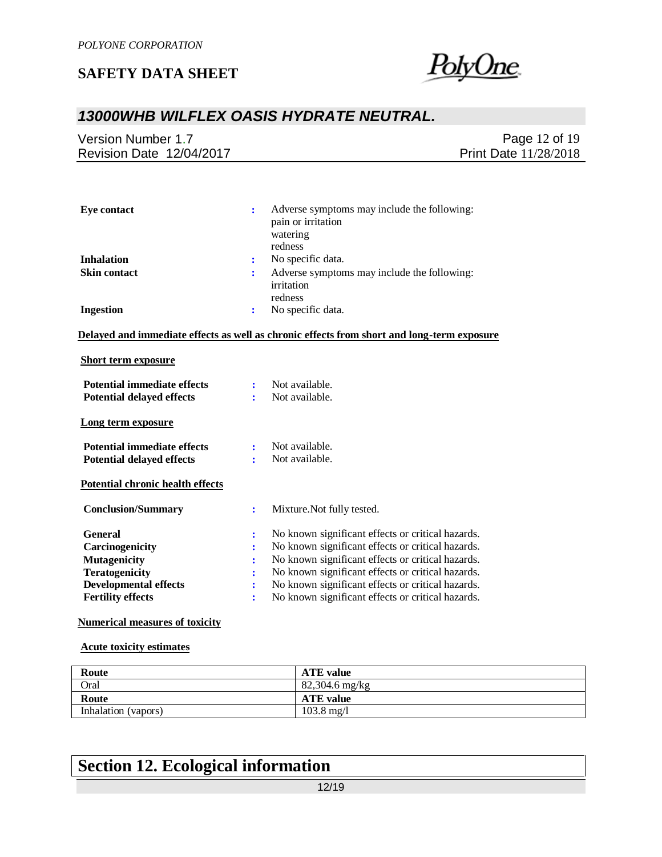

## *13000WHB WILFLEX OASIS HYDRATE NEUTRAL.*

| Revision Date 12/04/2017 | Version Number 1.7 | Page 12 of 19                |
|--------------------------|--------------------|------------------------------|
|                          |                    | <b>Print Date 11/28/2018</b> |

| <b>Eye contact</b>                      | ÷              | Adverse symptoms may include the following:<br>pain or irritation<br>watering<br>redness          |
|-----------------------------------------|----------------|---------------------------------------------------------------------------------------------------|
| <b>Inhalation</b>                       | :              | No specific data.                                                                                 |
| <b>Skin contact</b>                     | ÷              | Adverse symptoms may include the following:<br>irritation                                         |
| <b>Ingestion</b>                        | $\ddot{\cdot}$ | redness<br>No specific data.                                                                      |
|                                         |                | <u>Delayed and immediate effects as well as chronic effects from short and long-term exposure</u> |
| <b>Short term exposure</b>              |                |                                                                                                   |
| <b>Potential immediate effects</b>      | ÷              | Not available.                                                                                    |
| <b>Potential delayed effects</b>        | ٠              | Not available.                                                                                    |
| Long term exposure                      |                |                                                                                                   |
| <b>Potential immediate effects</b>      | $\ddot{\cdot}$ | Not available.                                                                                    |
| <b>Potential delayed effects</b>        | ٠              | Not available.                                                                                    |
| <b>Potential chronic health effects</b> |                |                                                                                                   |
| <b>Conclusion/Summary</b>               | ÷              | Mixture. Not fully tested.                                                                        |
| <b>General</b>                          | :              | No known significant effects or critical hazards.                                                 |
| Carcinogenicity                         | ÷              | No known significant effects or critical hazards.                                                 |
| <b>Mutagenicity</b>                     |                | No known significant effects or critical hazards.                                                 |
| <b>Teratogenicity</b>                   |                | No known significant effects or critical hazards.                                                 |
| <b>Developmental effects</b>            |                | No known significant effects or critical hazards.                                                 |

**Developmental effects**  $\cdot$  No known significant effects or critical hazards.<br>**Fertility effects**  $\cdot$  No known significant effects or critical hazards.

# **Numerical measures of toxicity**

#### **Acute toxicity estimates**

| Route               | <b>ATE</b> value     |
|---------------------|----------------------|
| Oral                | $82,304.6$ mg/kg     |
| Route               | <b>ATE</b> value     |
| Inhalation (vapors) | $103.8 \text{ mg}/1$ |

**:** No known significant effects or critical hazards.

# **Section 12. Ecological information**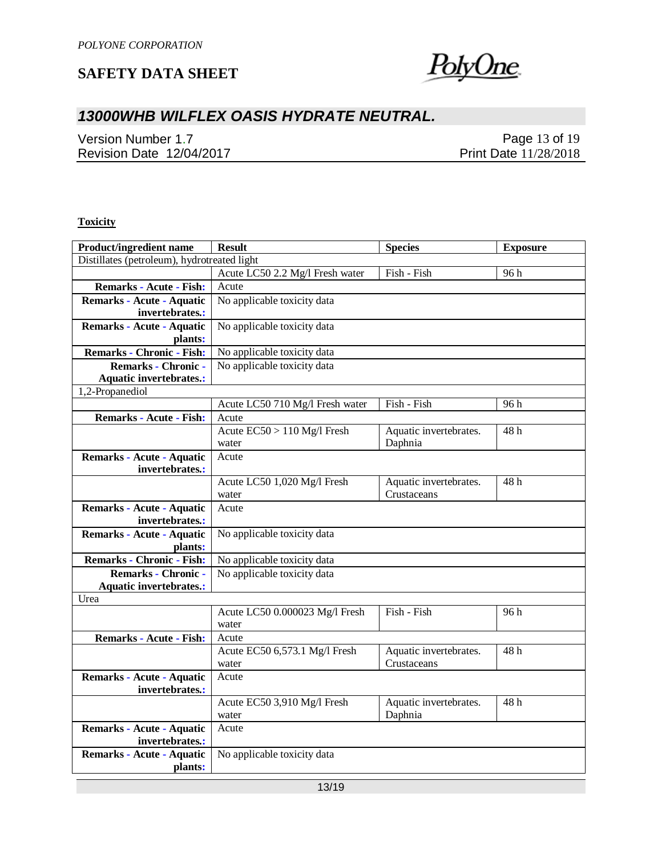

# *13000WHB WILFLEX OASIS HYDRATE NEUTRAL.*

Version Number 1.7 Revision Date 12/04/2017

Page 13 of 19 Print Date 11/28/2018

#### **Toxicity**

| Product/ingredient name                     | <b>Result</b>                           | <b>Species</b>         | <b>Exposure</b> |  |  |  |
|---------------------------------------------|-----------------------------------------|------------------------|-----------------|--|--|--|
| Distillates (petroleum), hydrotreated light |                                         |                        |                 |  |  |  |
|                                             | Acute LC50 2.2 Mg/l Fresh water         | Fish - Fish            | 96h             |  |  |  |
| <b>Remarks - Acute - Fish:</b>              | Acute                                   |                        |                 |  |  |  |
| <b>Remarks - Acute - Aquatic</b>            | No applicable toxicity data             |                        |                 |  |  |  |
| invertebrates.:                             |                                         |                        |                 |  |  |  |
| <b>Remarks - Acute - Aquatic</b>            | No applicable toxicity data             |                        |                 |  |  |  |
| plants:                                     |                                         |                        |                 |  |  |  |
| <b>Remarks - Chronic - Fish:</b>            | No applicable toxicity data             |                        |                 |  |  |  |
| <b>Remarks - Chronic -</b>                  | No applicable toxicity data             |                        |                 |  |  |  |
| <b>Aquatic invertebrates.:</b>              |                                         |                        |                 |  |  |  |
| 1,2-Propanediol                             |                                         |                        |                 |  |  |  |
|                                             | Acute LC50 710 Mg/l Fresh water         | Fish - Fish            | 96 h            |  |  |  |
| <b>Remarks - Acute - Fish:</b>              | Acute                                   |                        |                 |  |  |  |
|                                             | Acute $EC50 > 110$ Mg/l Fresh           | Aquatic invertebrates. | 48h             |  |  |  |
|                                             | water                                   | Daphnia                |                 |  |  |  |
| <b>Remarks - Acute - Aquatic</b>            | Acute                                   |                        |                 |  |  |  |
| invertebrates.:                             |                                         |                        |                 |  |  |  |
|                                             | Acute LC50 1,020 Mg/l Fresh             | Aquatic invertebrates. | 48 h            |  |  |  |
|                                             | water                                   | Crustaceans            |                 |  |  |  |
| <b>Remarks - Acute - Aquatic</b>            | Acute                                   |                        |                 |  |  |  |
| invertebrates.:                             |                                         |                        |                 |  |  |  |
| Remarks - Acute - Aquatic                   | No applicable toxicity data             |                        |                 |  |  |  |
| plants:                                     |                                         |                        |                 |  |  |  |
| <b>Remarks - Chronic - Fish:</b>            | No applicable toxicity data             |                        |                 |  |  |  |
| <b>Remarks - Chronic -</b>                  | No applicable toxicity data             |                        |                 |  |  |  |
| <b>Aquatic invertebrates.:</b>              |                                         |                        |                 |  |  |  |
| Urea                                        |                                         |                        |                 |  |  |  |
|                                             | Acute LC50 0.000023 Mg/l Fresh<br>water | Fish - Fish            | 96 h            |  |  |  |
| <b>Remarks - Acute - Fish:</b>              |                                         |                        |                 |  |  |  |
|                                             | Acute<br>Acute EC50 6,573.1 Mg/l Fresh  | Aquatic invertebrates. | 48 h            |  |  |  |
|                                             | water                                   | Crustaceans            |                 |  |  |  |
| Remarks - Acute - Aquatic                   | Acute                                   |                        |                 |  |  |  |
| invertebrates.:                             |                                         |                        |                 |  |  |  |
|                                             | Acute EC50 3,910 Mg/l Fresh             | Aquatic invertebrates. | 48h             |  |  |  |
|                                             | water                                   | Daphnia                |                 |  |  |  |
| Remarks - Acute - Aquatic                   | Acute                                   |                        |                 |  |  |  |
| invertebrates.:                             |                                         |                        |                 |  |  |  |
| Remarks - Acute - Aquatic                   | No applicable toxicity data             |                        |                 |  |  |  |
| plants:                                     |                                         |                        |                 |  |  |  |
|                                             |                                         |                        |                 |  |  |  |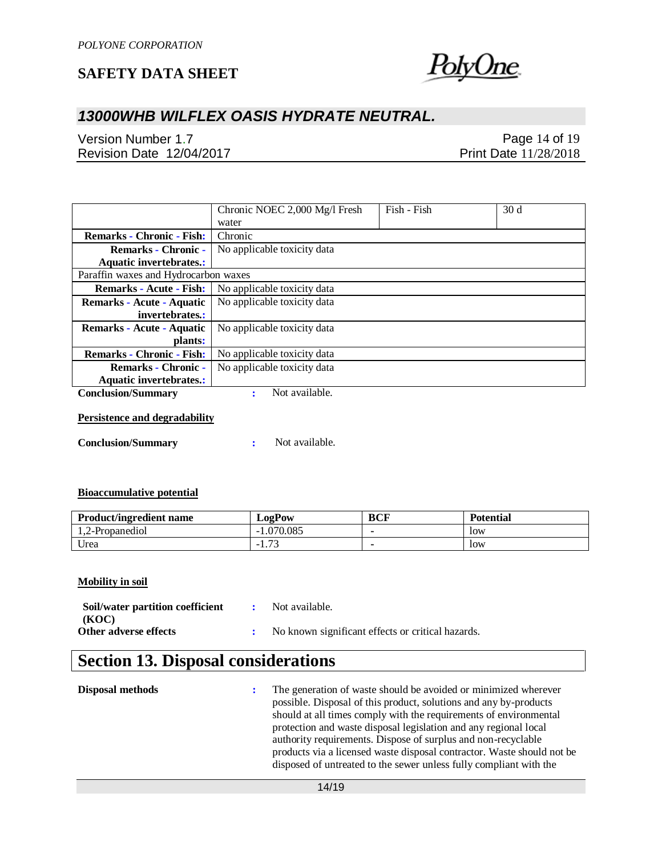

# *13000WHB WILFLEX OASIS HYDRATE NEUTRAL.*

Version Number 1.7 Revision Date 12/04/2017

Page 14 of 19 Print Date 11/28/2018

|                                      | Chronic NOEC 2,000 Mg/l Fresh | Fish - Fish | 30 <sub>d</sub> |
|--------------------------------------|-------------------------------|-------------|-----------------|
|                                      | water                         |             |                 |
| <b>Remarks - Chronic - Fish:</b>     | Chronic                       |             |                 |
| <b>Remarks - Chronic -</b>           | No applicable toxicity data   |             |                 |
| <b>Aquatic invertebrates.:</b>       |                               |             |                 |
| Paraffin waxes and Hydrocarbon waxes |                               |             |                 |
| <b>Remarks - Acute - Fish:</b>       | No applicable toxicity data   |             |                 |
| Remarks - Acute - Aquatic            | No applicable toxicity data   |             |                 |
| invertebrates.:                      |                               |             |                 |
| Remarks - Acute - Aquatic            | No applicable toxicity data   |             |                 |
| plants:                              |                               |             |                 |
| <b>Remarks - Chronic - Fish:</b>     | No applicable toxicity data   |             |                 |
| <b>Remarks - Chronic -</b>           | No applicable toxicity data   |             |                 |
| <b>Aquatic invertebrates.:</b>       |                               |             |                 |
| <b>Conclusion/Summary</b>            | Not available.                |             |                 |

#### **Persistence and degradability**

**Conclusion/Summary :** Not available.

#### **Bioaccumulative potential**

| <b>Product/ingredient name</b> | <b>LogPow</b>                                                | BCF | <b>Potential</b> |
|--------------------------------|--------------------------------------------------------------|-----|------------------|
| 1.2-Propanediol                | .070.085                                                     |     | low              |
| Urea                           | $\overline{\phantom{a}}$<br>$\overline{\phantom{0}}$<br>1.10 |     | low              |

#### **Mobility in soil**

| Soil/water partition coefficient | : Not available.                                    |
|----------------------------------|-----------------------------------------------------|
| (KOC)                            |                                                     |
| Other adverse effects            | : No known significant effects or critical hazards. |

# **Section 13. Disposal considerations**

| Disposal methods |  | The generation of waste should be avoided or minimized wherever<br>possible. Disposal of this product, solutions and any by-products<br>should at all times comply with the requirements of environmental<br>protection and waste disposal legislation and any regional local<br>authority requirements. Dispose of surplus and non-recyclable<br>products via a licensed waste disposal contractor. Waste should not be<br>disposed of untreated to the sewer unless fully compliant with the |
|------------------|--|------------------------------------------------------------------------------------------------------------------------------------------------------------------------------------------------------------------------------------------------------------------------------------------------------------------------------------------------------------------------------------------------------------------------------------------------------------------------------------------------|
|------------------|--|------------------------------------------------------------------------------------------------------------------------------------------------------------------------------------------------------------------------------------------------------------------------------------------------------------------------------------------------------------------------------------------------------------------------------------------------------------------------------------------------|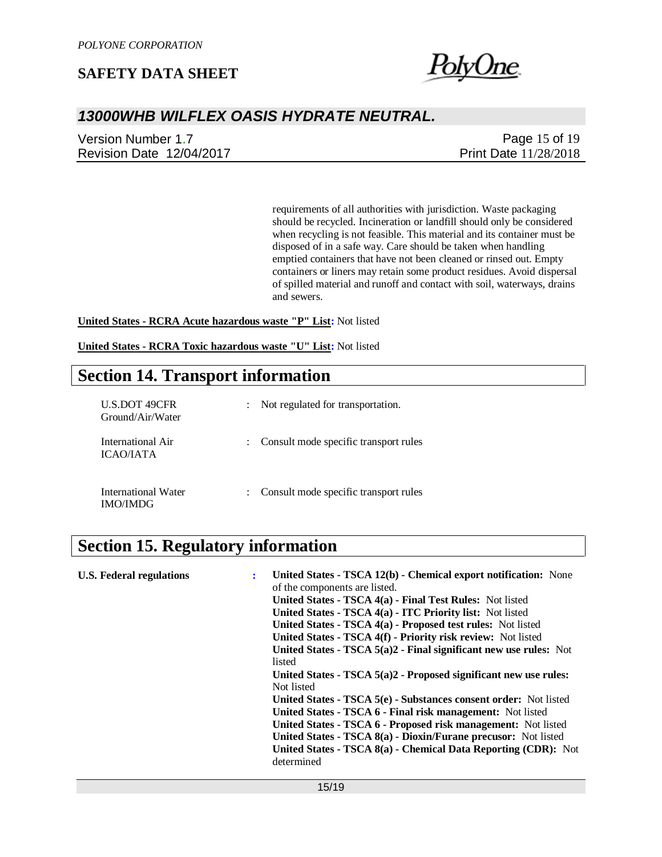

## *13000WHB WILFLEX OASIS HYDRATE NEUTRAL.*

Version Number 1.7 Revision Date 12/04/2017

Page 15 of 19 Print Date 11/28/2018

requirements of all authorities with jurisdiction. Waste packaging should be recycled. Incineration or landfill should only be considered when recycling is not feasible. This material and its container must be disposed of in a safe way. Care should be taken when handling emptied containers that have not been cleaned or rinsed out. Empty containers or liners may retain some product residues. Avoid dispersal of spilled material and runoff and contact with soil, waterways, drains and sewers.

**United States - RCRA Acute hazardous waste "P" List:** Not listed

**United States - RCRA Toxic hazardous waste "U" List:** Not listed

## **Section 14. Transport information**

| <b>U.S.DOT 49CFR</b><br>Ground/Air/Water | Not regulated for transportation.     |
|------------------------------------------|---------------------------------------|
| International Air<br>ICAO/IATA           | Consult mode specific transport rules |
| International Water<br><b>IMO/IMDG</b>   | Consult mode specific transport rules |

# **Section 15. Regulatory information**

| <b>U.S. Federal regulations</b> | United States - TSCA 12(b) - Chemical export notification: None<br>of the components are listed.<br>United States - TSCA 4(a) - Final Test Rules: Not listed<br>United States - TSCA 4(a) - ITC Priority list: Not listed<br>United States - TSCA 4(a) - Proposed test rules: Not listed<br>United States - TSCA 4(f) - Priority risk review: Not listed<br>United States - TSCA $5(a)2$ - Final significant new use rules: Not<br>listed<br>United States - $TSCA$ 5(a)2 - Proposed significant new use rules:<br>Not listed<br>United States - TSCA 5(e) - Substances consent order: Not listed<br>United States - TSCA 6 - Final risk management: Not listed<br>United States - TSCA 6 - Proposed risk management: Not listed<br>United States - TSCA 8(a) - Dioxin/Furane precusor: Not listed<br>United States - TSCA 8(a) - Chemical Data Reporting (CDR): Not |
|---------------------------------|----------------------------------------------------------------------------------------------------------------------------------------------------------------------------------------------------------------------------------------------------------------------------------------------------------------------------------------------------------------------------------------------------------------------------------------------------------------------------------------------------------------------------------------------------------------------------------------------------------------------------------------------------------------------------------------------------------------------------------------------------------------------------------------------------------------------------------------------------------------------|
|                                 | determined                                                                                                                                                                                                                                                                                                                                                                                                                                                                                                                                                                                                                                                                                                                                                                                                                                                           |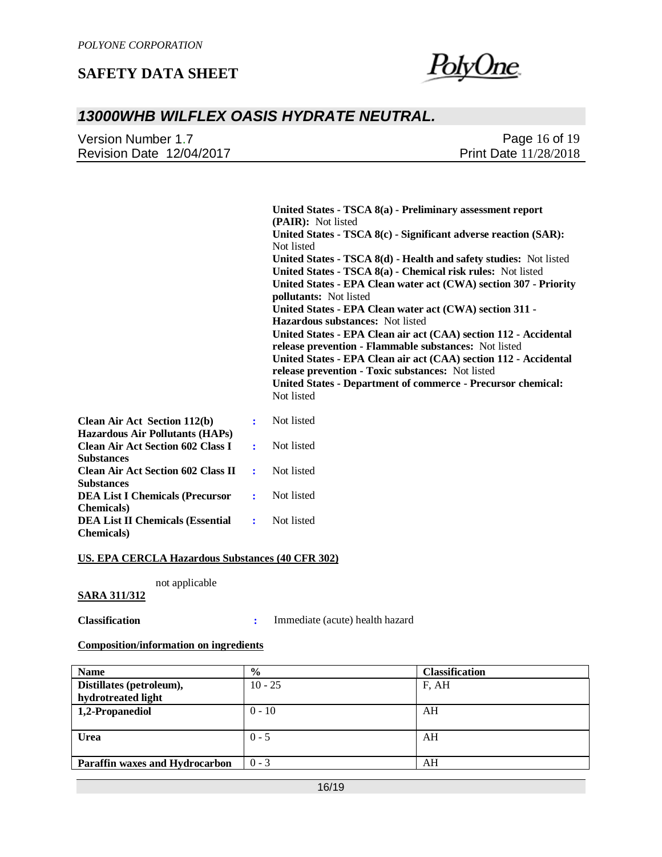

### *13000WHB WILFLEX OASIS HYDRATE NEUTRAL.*

| Version Number 1.7       | Page 16 of 19                |  |
|--------------------------|------------------------------|--|
| Revision Date 12/04/2017 | <b>Print Date 11/28/2018</b> |  |

**United States - TSCA 8(a) - Preliminary assessment report (PAIR):** Not listed **United States - TSCA 8(c) - Significant adverse reaction (SAR):**  Not listed **United States - TSCA 8(d) - Health and safety studies:** Not listed **United States - TSCA 8(a) - Chemical risk rules:** Not listed **United States - EPA Clean water act (CWA) section 307 - Priority pollutants:** Not listed **United States - EPA Clean water act (CWA) section 311 - Hazardous substances:** Not listed **United States - EPA Clean air act (CAA) section 112 - Accidental release prevention - Flammable substances:** Not listed **United States - EPA Clean air act (CAA) section 112 - Accidental release prevention - Toxic substances:** Not listed **United States - Department of commerce - Precursor chemical:**  Not listed

| <b>Clean Air Act Section 112(b)</b>       |                            | : Not listed |
|-------------------------------------------|----------------------------|--------------|
| <b>Hazardous Air Pollutants (HAPs)</b>    |                            |              |
| <b>Clean Air Act Section 602 Class I</b>  | $\sim$ 100 $\sim$          | Not listed   |
| <b>Substances</b>                         |                            |              |
| <b>Clean Air Act Section 602 Class II</b> | $\sim$ 100 $\pm$           | Not listed   |
| <b>Substances</b>                         |                            |              |
| <b>DEA List I Chemicals (Precursor</b>    | $\sim$ 100 $\pm$ 100 $\pm$ | Not listed   |
| <b>Chemicals</b> )                        |                            |              |
| <b>DEA List II Chemicals (Essential</b>   |                            | : Not listed |
| <b>Chemicals</b> )                        |                            |              |

#### **US. EPA CERCLA Hazardous Substances (40 CFR 302)**

not applicable

#### **SARA 311/312**

**Classification :** Immediate (acute) health hazard

#### **Composition/information on ingredients**

| <b>Name</b>                           | $\frac{0}{0}$ | <b>Classification</b> |
|---------------------------------------|---------------|-----------------------|
| Distillates (petroleum),              | $10 - 25$     | F, AH                 |
| hydrotreated light                    |               |                       |
| 1,2-Propanediol                       | $0 - 10$      | AH                    |
|                                       |               |                       |
| <b>Urea</b>                           | $0 - 5$       | AH                    |
|                                       |               |                       |
| <b>Paraffin waxes and Hydrocarbon</b> | $0 - 3$       | AH                    |
|                                       |               |                       |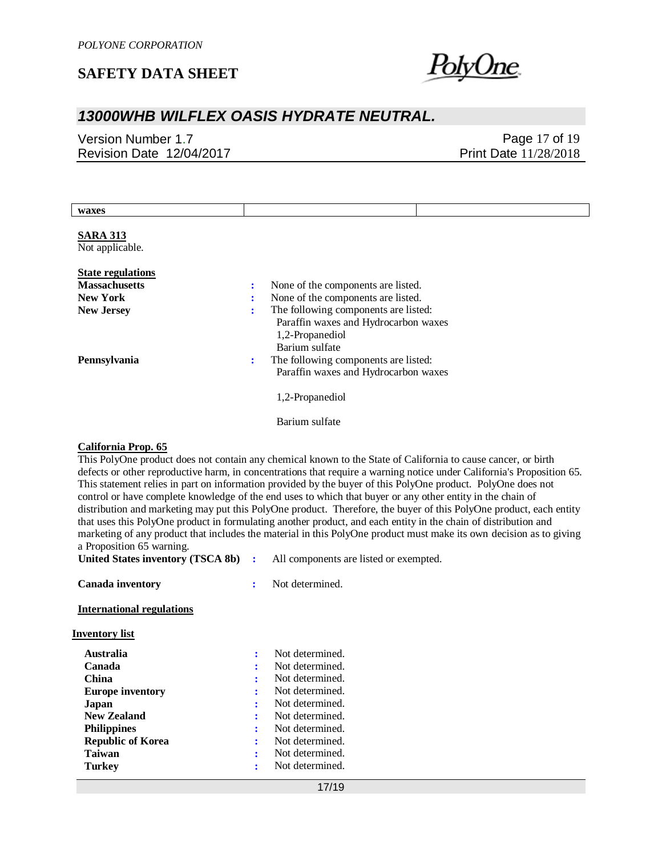

# *13000WHB WILFLEX OASIS HYDRATE NEUTRAL.*

Version Number 1.7 Revision Date 12/04/2017

Page 17 of 19 Print Date 11/28/2018

| waxes                                                                                                                                                                                                                                                                                                                                                                                                                                                                                                                                                                                                                                                                                                                                                                                                                                                                                            |                                                                                                                                                                                                         |  |
|--------------------------------------------------------------------------------------------------------------------------------------------------------------------------------------------------------------------------------------------------------------------------------------------------------------------------------------------------------------------------------------------------------------------------------------------------------------------------------------------------------------------------------------------------------------------------------------------------------------------------------------------------------------------------------------------------------------------------------------------------------------------------------------------------------------------------------------------------------------------------------------------------|---------------------------------------------------------------------------------------------------------------------------------------------------------------------------------------------------------|--|
| <b>SARA 313</b><br>Not applicable.                                                                                                                                                                                                                                                                                                                                                                                                                                                                                                                                                                                                                                                                                                                                                                                                                                                               |                                                                                                                                                                                                         |  |
| <b>State regulations</b><br><b>Massachusetts</b><br><b>New York</b><br><b>New Jersey</b>                                                                                                                                                                                                                                                                                                                                                                                                                                                                                                                                                                                                                                                                                                                                                                                                         | None of the components are listed.<br>÷<br>None of the components are listed.<br>÷<br>The following components are listed:<br>Paraffin waxes and Hydrocarbon waxes<br>1,2-Propanediol<br>Barium sulfate |  |
| Pennsylvania                                                                                                                                                                                                                                                                                                                                                                                                                                                                                                                                                                                                                                                                                                                                                                                                                                                                                     | The following components are listed:<br>÷<br>Paraffin waxes and Hydrocarbon waxes                                                                                                                       |  |
|                                                                                                                                                                                                                                                                                                                                                                                                                                                                                                                                                                                                                                                                                                                                                                                                                                                                                                  | 1,2-Propanediol                                                                                                                                                                                         |  |
|                                                                                                                                                                                                                                                                                                                                                                                                                                                                                                                                                                                                                                                                                                                                                                                                                                                                                                  | Barium sulfate                                                                                                                                                                                          |  |
| <b>California Prop. 65</b><br>This PolyOne product does not contain any chemical known to the State of California to cause cancer, or birth<br>defects or other reproductive harm, in concentrations that require a warning notice under California's Proposition 65.<br>This statement relies in part on information provided by the buyer of this PolyOne product. PolyOne does not<br>control or have complete knowledge of the end uses to which that buyer or any other entity in the chain of<br>distribution and marketing may put this PolyOne product. Therefore, the buyer of this PolyOne product, each entity<br>that uses this PolyOne product in formulating another product, and each entity in the chain of distribution and<br>marketing of any product that includes the material in this PolyOne product must make its own decision as to giving<br>a Proposition 65 warning. |                                                                                                                                                                                                         |  |

**United States inventory (TSCA 8b) :** All components are listed or exempted. **Canada inventory :** Not determined. **International regulations Inventory list Australia :** Not determined. **Canada :** Not determined.<br> **China :** Not determined.<br> **:** Not determined. **:** Not determined. **Europe inventory :** Not determined. **Japan :** Not determined.<br> **New Zealand :** Not determined. **:** Not determined. **Philippines :** Not determined. **Republic of Korea :** Not determined.

**Taiwan :** Not determined. **Turkey :** Not determined.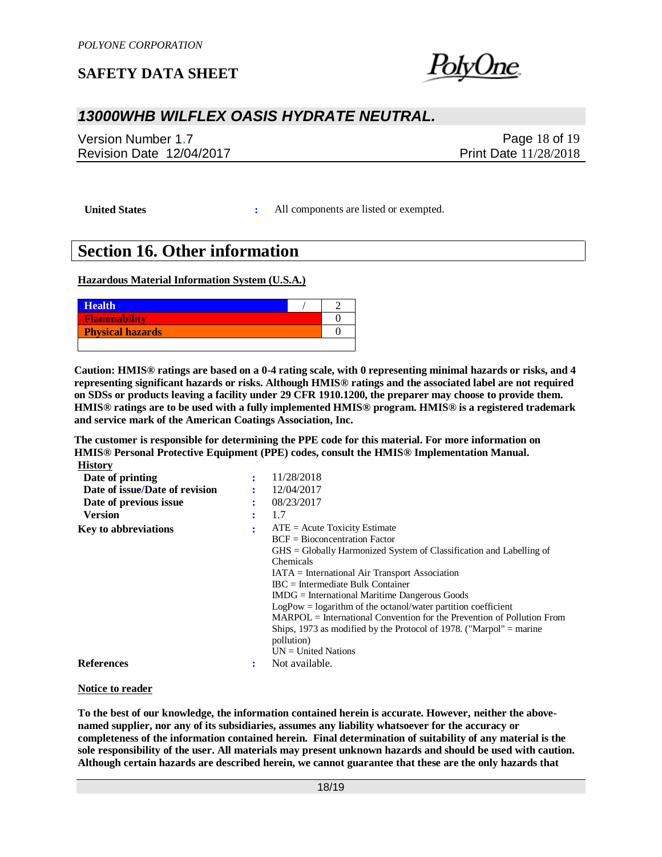

## *13000WHB WILFLEX OASIS HYDRATE NEUTRAL.*

Version Number 1.7 Revision Date 12/04/2017

Page 18 of 19 Print Date 11/28/2018

**United States :** All components are listed or exempted.

# **Section 16. Other information**

**Hazardous Material Information System (U.S.A.)**

| <b>Health</b>           |  |
|-------------------------|--|
| Flammability            |  |
| <b>Physical hazards</b> |  |
|                         |  |

**Caution: HMIS® ratings are based on a 0-4 rating scale, with 0 representing minimal hazards or risks, and 4 representing significant hazards or risks. Although HMIS® ratings and the associated label are not required on SDSs or products leaving a facility under 29 CFR 1910.1200, the preparer may choose to provide them. HMIS® ratings are to be used with a fully implemented HMIS® program. HMIS® is a registered trademark and service mark of the American Coatings Association, Inc.**

**The customer is responsible for determining the PPE code for this material. For more information on HMIS® Personal Protective Equipment (PPE) codes, consult the HMIS® Implementation Manual. History**

| Date of printing               | 11/28/2018                                                                       |
|--------------------------------|----------------------------------------------------------------------------------|
| Date of issue/Date of revision | 12/04/2017                                                                       |
| Date of previous issue         | 08/23/2017                                                                       |
| <b>Version</b>                 | 1.7                                                                              |
| <b>Key to abbreviations</b>    | $ATE = Acute Toxicity Estimate$                                                  |
|                                | $BCF = Bioconcentration Factor$                                                  |
|                                | $\overline{GHS}$ = Globally Harmonized System of Classification and Labelling of |
|                                | <b>Chemicals</b>                                                                 |
|                                | $IATA = International Air Transport Association$                                 |
|                                | $\text{IRC}$ = Intermediate Bulk Container                                       |
|                                | $IMDG = International\,$ Maritime Dangerous Goods                                |
|                                | $LogPow = logarithm$ of the octanol/water partition coefficient                  |
|                                | $MARPOL = International Convention for the Prevention of Pollution From$         |
|                                | Ships, 1973 as modified by the Protocol of 1978. ("Marpol" $=$ marine            |
|                                | pollution)                                                                       |
|                                | $UN = United Nations$                                                            |
| <b>References</b>              | Not available.                                                                   |

#### **Notice to reader**

**To the best of our knowledge, the information contained herein is accurate. However, neither the abovenamed supplier, nor any of its subsidiaries, assumes any liability whatsoever for the accuracy or completeness of the information contained herein. Final determination of suitability of any material is the sole responsibility of the user. All materials may present unknown hazards and should be used with caution. Although certain hazards are described herein, we cannot guarantee that these are the only hazards that**